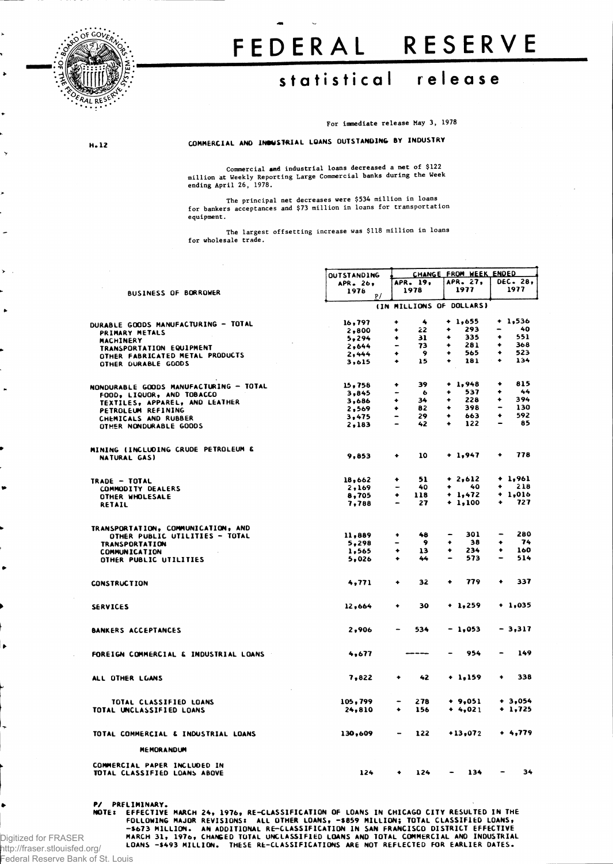

**H . 12**

## **FEDERA L RESERV E**

## **statistica l releas e**

**For immediate release May 3, 1978**

**COMMERCIAL A ND INDUSTRIAL LOANS OUTSTANDING BY INDUSTRY**

**Commercial sad industrial loans decreased a net of \$122 million at Weekly Reporting Large Commercial banks during the Week ending April 26, 1978.**

The principal net decreases were \$534 million in loans<br>for bankers acceptances and \$73 million in loans for transportation **equipment.** 

**The largest offsetting increase was \$118 million in loans for wholesale trade.**

|                                               | <b>OUTSTANDING</b> |                          |                  |   | CHANGE FROM WEEK ENDED   |                              |                 |
|-----------------------------------------------|--------------------|--------------------------|------------------|---|--------------------------|------------------------------|-----------------|
|                                               | APR. 26,           |                          | APR. 19.         |   | APR. 27,                 |                              | <b>DEC. 28,</b> |
| BUSINESS OF BORROWER                          | 1978<br>p/         |                          | 1978             |   | 1977                     |                              | 1977            |
|                                               |                    |                          |                  |   | (IN MILLIONS OF DOLLARS) |                              |                 |
|                                               | 16,797             | ۰                        | $\ddot{\bullet}$ |   | $+ 1,655$                |                              | $+ 1,536$       |
| <b>DURABLE GOODS MANUFACTURING - TOTAL</b>    | 2,800              | ۰                        | 22               | ۰ | 293                      | $\qquad \qquad \blacksquare$ | 40              |
| PRIMARY METALS                                | 5,294              | ۰                        | 31.              | ۰ | 335                      | ٠                            | 551             |
| MACHINERY                                     | 2,644              | ٠                        | 73               | ۰ | 281                      | ۰                            | 368             |
| <b>TRANSPORTATION EQUIPMENT</b>               | 2,444              | ٠                        | -9               | ٠ | 565                      | ٠                            | 523             |
| OTHER FABRICATED METAL PRODUCTS               |                    | ٠                        | 15               | ٠ | 181                      | ٠                            | 134             |
| OTHER DURABLE GOODS                           | 3,615              |                          |                  |   |                          |                              |                 |
| <b>NONDURABLE GOODS MANUFACTURING - TOTAL</b> | 15,758             | ۰                        | 39               |   | $+ 1,948$                | ٠                            | 815             |
| FOOD, LIQUOR, AND TOBACCO                     | 3,845              |                          | $\bullet$        | ۰ | 537                      | ۰                            | 44              |
| TEXTILES, APPAREL, AND LEATHER                | 3,686              | ۰                        | 34               | ٠ | 228                      | ۰                            | 394             |
| PETROLEUM REFINING                            | 2,569              | ٠                        | 82               | ۰ | 398                      |                              | 130             |
| CHEMICALS AND RUBBER                          | 3,475              | $\overline{\phantom{0}}$ | 29               | ٠ | 663                      | ٠                            | 592             |
| OTHER NONDURABLE GOODS                        | 2,183              |                          | 42               | ۰ | 122                      | $\qquad \qquad \blacksquare$ | 85              |
|                                               |                    |                          |                  |   |                          |                              |                 |
| MINING (INCLUDING CRUDE PETROLEUM &           |                    |                          |                  |   |                          |                              |                 |
| NATURAL GAS)                                  | 9,853              | ۰                        | 10               |   | $+ 1,947$                | ۰                            | 778             |
| TRADE - TOTAL                                 | 18,662             | ٠                        | 51               |   | $+2,612$                 |                              | $+ 1,961$       |
| <b>COMMODITY DEALERS</b>                      | 2,169              |                          | 40               | ٠ | - 40                     | ٠                            | 218             |
| OTHER WHOLESALE                               | 8,705              | ۰                        | 118              |   | $+ 1,472$                |                              | $+ 1,016$       |
| RETAIL                                        | 7.788              |                          | 27               |   | $+ 1,100$                | ۰                            | 727             |
|                                               |                    |                          |                  |   |                          |                              |                 |
| TRANSPORTATION, COMMUNICATION, AND            |                    |                          |                  |   |                          |                              |                 |
| OTHER PUBLIC UTILITIES - TOTAL                | 11,889             | ۰                        | 48               |   | 301                      |                              | 280             |
| <b>TRANSPORTATION</b>                         | 5,298              |                          | 9                | ۰ | -38                      | ۰                            | - 74            |
| <b>COMMUNICATION</b>                          | 1,565              | ۰                        | 13               | ۰ | 234                      | ٠                            | 160             |
| OTHER PUBLIC UTILITIES                        | 5,026              | ٠                        | 44               | - | 573                      | -                            | 514             |
| <b>CONSTRUCTION</b>                           | 4,771              | ۰                        | 32               | ٠ | 779                      | ٠                            | 337             |
| <b>SERVICES</b>                               | 12,664             | ۰                        | 30               |   | $+ 1,259$                |                              | $+1,035$        |
| <b>BANKERS ACCEPTANCES</b>                    | 2,906              |                          | 534              |   | $-1,053$                 |                              | $-3,317$        |
| FOREIGN COMMERCIAL & INDUSTRIAL LOANS         | 4.677              |                          | ----             |   | 954                      |                              | 149             |
| ALL OTHER LGANS                               | 7,822              | ۰                        | 42               |   | $+ 1.159$                | ۰                            | 338             |
| TOTAL CLASSIFIED LOANS                        | 105,799            |                          | 278              |   | $+ 9,051$                |                              | $+3,054$        |
| TOTAL UNCLASSIFIED LOANS                      | 24,810             | ۰                        | 156              |   | $+4,021$                 |                              | $+ 1,725$       |
| TOTAL COMMERCIAL & INDUSTRIAL LOANS           | 130,609            |                          | 122              |   | $+13,072$                |                              | $+ 4,779$       |
| <b>MEMORANDUM</b>                             |                    |                          |                  |   |                          |                              |                 |
| COMMERCIAL PAPER INCLUDED IN                  |                    |                          |                  |   |                          |                              |                 |
| TOTAL CLASSIFIED LOANS ABOVE                  | 124                | ٠                        | 124              |   | 134                      |                              | 34              |

P/ PRELIMINARY.<br>MOTE: EFFECTIVE MARCH 24, 1976, RE-CLASSIFICATION OF LOANS IN CHICAGO CITY RESULTED IN THE<br>FOLLOWING MAJOR REVISIONS: ALL OTHER LOANS, -\$859 MILLION; TOTAL CLASSIFIED LOANS,<br>-\$673 MILLION. AN ADDITIONAL RE-

http://fraser.stlouisfed.org/ Federal Reserve Bank of St. Louis

Digitized for FRASER